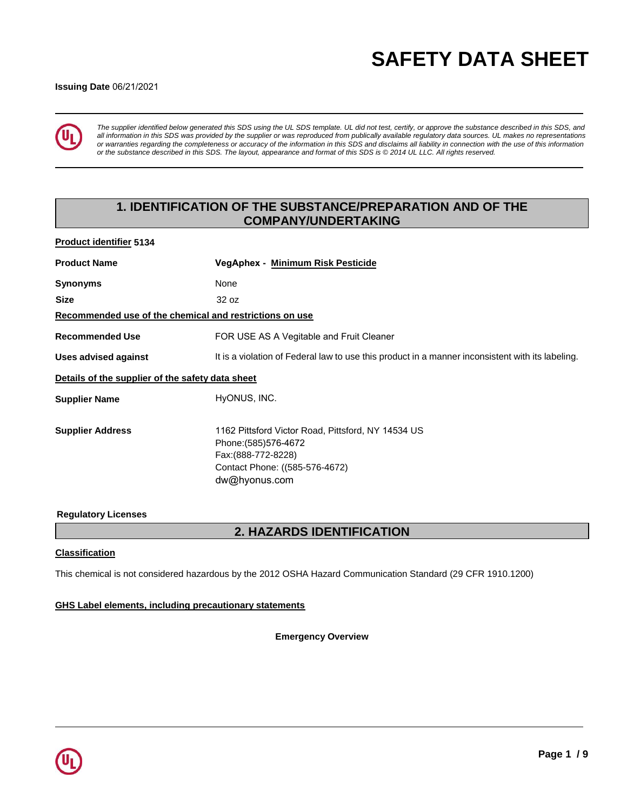# **SAFETY DATA SHEET**

#### **Issuing Date** 06/21/2021



*The supplier identified below generated this SDS using the UL SDS template. UL did not test, certify, or approve the substance described in this SDS, and all information in this SDS was provided by the supplier or was reproduced from publically available regulatory data sources. UL makes no representations or warranties regarding the completeness or accuracy of the information in this SDS and disclaims all liability in connection with the use of this information or the substance described in this SDS. The layout, appearance and format of this SDS is © 2014 UL LLC. All rights reserved.*

# **1. IDENTIFICATION OF THE SUBSTANCE/PREPARATION AND OF THE COMPANY/UNDERTAKING**

| <b>Product identifier 5134</b>                          |                                                                                                                                                       |
|---------------------------------------------------------|-------------------------------------------------------------------------------------------------------------------------------------------------------|
| <b>Product Name</b>                                     | VegAphex - Minimum Risk Pesticide                                                                                                                     |
| <b>Synonyms</b>                                         | None                                                                                                                                                  |
| <b>Size</b>                                             | 32 oz                                                                                                                                                 |
| Recommended use of the chemical and restrictions on use |                                                                                                                                                       |
| <b>Recommended Use</b>                                  | FOR USE AS A Vegitable and Fruit Cleaner                                                                                                              |
| <b>Uses advised against</b>                             | It is a violation of Federal law to use this product in a manner inconsistent with its labeling.                                                      |
| Details of the supplier of the safety data sheet        |                                                                                                                                                       |
| <b>Supplier Name</b>                                    | HyONUS, INC.                                                                                                                                          |
| <b>Supplier Address</b>                                 | 1162 Pittsford Victor Road, Pittsford, NY 14534 US<br>Phone: (585) 576-4672<br>Fax: (888-772-8228)<br>Contact Phone: ((585-576-4672)<br>dw@hyonus.com |

### **Regulatory Licenses**

# **2. HAZARDS IDENTIFICATION**

#### **Classification**

This chemical is not considered hazardous by the 2012 OSHA Hazard Communication Standard (29 CFR 1910.1200)

#### **GHS Label elements, including precautionary statements**

**Emergency Overview**

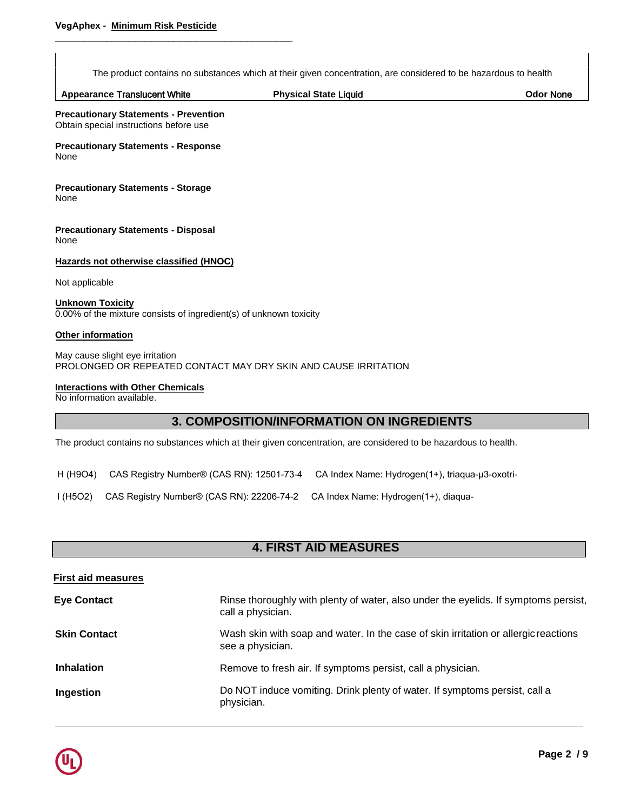\_\_\_\_\_\_\_\_\_\_\_\_\_\_\_\_\_\_\_\_\_\_\_\_\_\_\_\_\_\_\_\_\_\_\_\_\_\_\_\_\_\_

The product contains no substances which at their given concentration, are considered to be hazardous to health

|  | <b>Appearance Translucent White</b> | Physical State<br>Liquid | Odor None |
|--|-------------------------------------|--------------------------|-----------|
|--|-------------------------------------|--------------------------|-----------|

**Precautionary Statements - Prevention**  Obtain special instructions before use

**Precautionary Statements - Response**  None

**Precautionary Statements - Storage**  None

**Precautionary Statements - Disposal**  None

**Hazards not otherwise classified (HNOC)**

Not applicable

**Unknown Toxicity** 0.00% of the mixture consists of ingredient(s) of unknown toxicity

#### **Other information**

May cause slight eye irritation PROLONGED OR REPEATED CONTACT MAY DRY SKIN AND CAUSE IRRITATION

### **Interactions with Other Chemicals**

No information available.

# **3. COMPOSITION/INFORMATION ON INGREDIENTS**

The product contains no substances which at their given concentration, are considered to be hazardous to health.

H (H9O4) CAS Registry Number® (CAS RN): 12501-73-4 CA Index Name: Hydrogen(1+), triaqua-μ3-oxotri-

I (H5O2) CAS Registry Number® (CAS RN): 22206-74-2 CA Index Name: Hydrogen(1+), diaqua-

# **4. FIRST AID MEASURES**

| <b>First aid measures</b> |                                                                                                          |
|---------------------------|----------------------------------------------------------------------------------------------------------|
| <b>Eye Contact</b>        | Rinse thoroughly with plenty of water, also under the eyelids. If symptoms persist,<br>call a physician. |
| <b>Skin Contact</b>       | Wash skin with soap and water. In the case of skin irritation or allergic reactions<br>see a physician.  |
| <b>Inhalation</b>         | Remove to fresh air. If symptoms persist, call a physician.                                              |
| Ingestion                 | Do NOT induce vomiting. Drink plenty of water. If symptoms persist, call a<br>physician.                 |

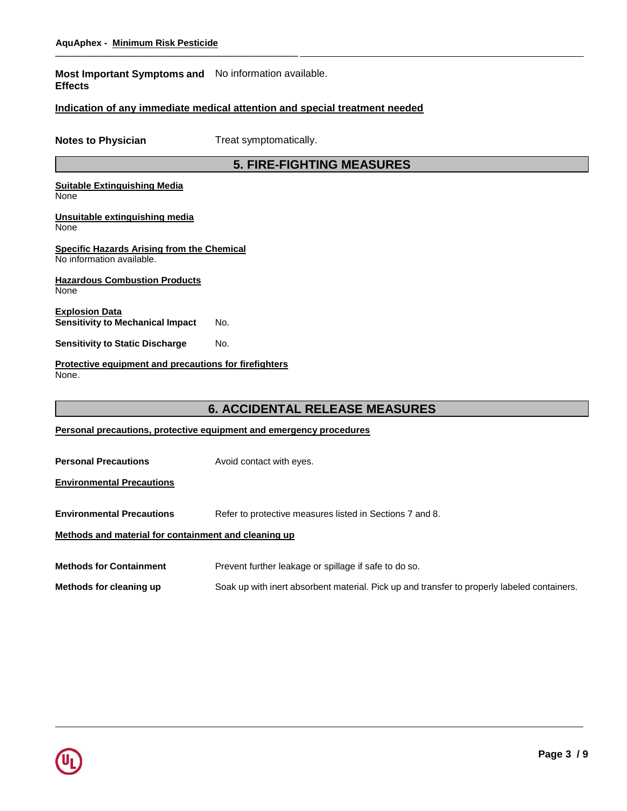**Most Important Symptoms and**  No information available. **Effects**

### **Indication of any immediate medical attention and special treatment needed**

**Notes to Physician** Treat symptomatically.

# **5. FIRE-FIGHTING MEASURES**

#### **Suitable Extinguishing Media** None

**Unsuitable extinguishing media**

None

#### **Specific Hazards Arising from the Chemical** No information available.

**Hazardous Combustion Products** None

**Explosion Data Sensitivity to Mechanical Impact** No.

**Sensitivity to Static Discharge** No.

**Protective equipment and precautions for firefighters** None.

# **6. ACCIDENTAL RELEASE MEASURES**

|  |  | Personal precautions, protective equipment and emergency procedures |  |  |  |
|--|--|---------------------------------------------------------------------|--|--|--|
|--|--|---------------------------------------------------------------------|--|--|--|

**Personal Precautions Avoid contact with eyes.** 

**Environmental Precautions**

**Environmental Precautions** Refer to protective measures listed in Sections 7 and 8.

### **Methods and material for containment and cleaning up**

**Methods for Containment** Prevent further leakage or spillage if safe to do so.

**Methods for cleaning up** Soak up with inert absorbent material. Pick up and transfer to properly labeled containers.

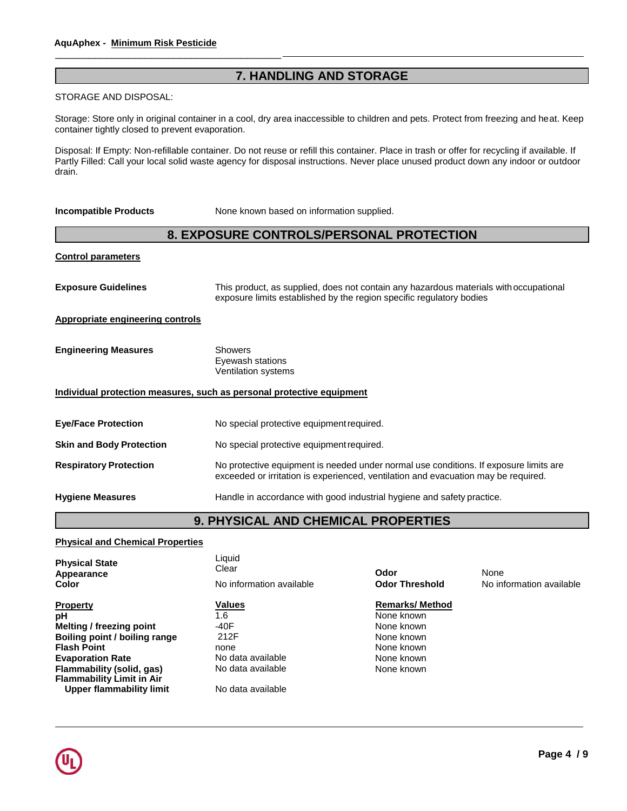\_\_\_\_\_\_\_\_\_\_\_\_\_\_\_\_\_\_\_\_\_\_\_\_\_\_\_\_\_\_\_\_\_\_\_\_\_\_\_\_

# **7. HANDLING AND STORAGE**

#### STORAGE AND DISPOSAL:

container tightly closed to prevent evaporation. The contact with good container tightly closed to prevent evaporation. Storage: Store only in original container in a cool, dry area inaccessible to children and pets. Protect from freezing and heat. Keep

Partly Filled: Call your local solid waste agency for disposal instructions. Never place unused product down any indoor or outdoor Disposal: If Empty: Non-refillable container. Do not reuse or refill this container. Place in trash or offer for recycling if available. If drain.

| <b>Incompatible Products</b>                                          | None known based on information supplied.                                                                                                                                   |  |
|-----------------------------------------------------------------------|-----------------------------------------------------------------------------------------------------------------------------------------------------------------------------|--|
|                                                                       | 8. EXPOSURE CONTROLS/PERSONAL PROTECTION                                                                                                                                    |  |
| <b>Control parameters</b>                                             |                                                                                                                                                                             |  |
| <b>Exposure Guidelines</b>                                            | This product, as supplied, does not contain any hazardous materials with occupational<br>exposure limits established by the region specific regulatory bodies               |  |
| <b>Appropriate engineering controls</b>                               |                                                                                                                                                                             |  |
| <b>Engineering Measures</b>                                           | <b>Showers</b><br>Eyewash stations<br><b>Ventilation systems</b>                                                                                                            |  |
| Individual protection measures, such as personal protective equipment |                                                                                                                                                                             |  |
| <b>Eye/Face Protection</b>                                            | No special protective equipment required.                                                                                                                                   |  |
| <b>Skin and Body Protection</b>                                       | No special protective equipment required.                                                                                                                                   |  |
| <b>Respiratory Protection</b>                                         | No protective equipment is needed under normal use conditions. If exposure limits are<br>exceeded or irritation is experienced, ventilation and evacuation may be required. |  |
| <b>Hygiene Measures</b>                                               | Handle in accordance with good industrial hygiene and safety practice.                                                                                                      |  |
| <b>9. PHYSICAL AND CHEMICAL PROPERTIES</b>                            |                                                                                                                                                                             |  |

### **Physical and Chemical Properties**

| <b>Physical State</b><br>Appearance<br>Color                  | Liquid<br>Clear<br>No information available | Odor<br><b>Odor Threshold</b> | None<br>No information available |
|---------------------------------------------------------------|---------------------------------------------|-------------------------------|----------------------------------|
| <b>Property</b>                                               | <b>Values</b>                               | <b>Remarks/Method</b>         |                                  |
| рH                                                            | 1.6                                         | None known                    |                                  |
| Melting / freezing point                                      | -40F                                        | None known                    |                                  |
| Boiling point / boiling range                                 | 212F                                        | None known                    |                                  |
| <b>Flash Point</b>                                            | none                                        | None known                    |                                  |
| <b>Evaporation Rate</b>                                       | No data available                           | None known                    |                                  |
| Flammability (solid, gas)<br><b>Flammability Limit in Air</b> | No data available                           | None known                    |                                  |
| Upper flammability limit                                      | No data available                           |                               |                                  |

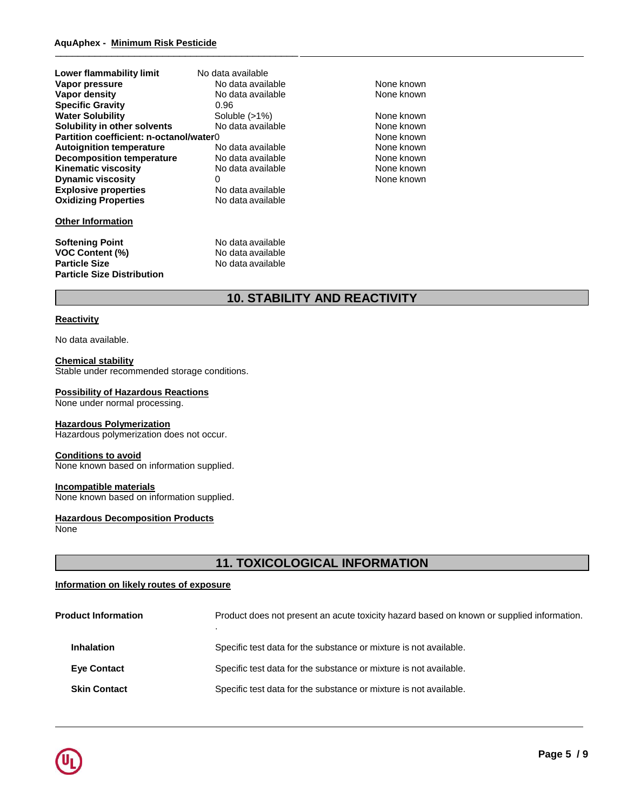| Lower flammability limit                | No data available |            |
|-----------------------------------------|-------------------|------------|
| Vapor pressure                          | No data available | None known |
| Vapor density                           | No data available | None known |
| <b>Specific Gravity</b>                 | 0.96              |            |
| <b>Water Solubility</b>                 | Soluble $(>1%)$   | None known |
| Solubility in other solvents            | No data available | None known |
| Partition coefficient: n-octanol/water0 |                   | None known |
| <b>Autoignition temperature</b>         | No data available | None known |
| <b>Decomposition temperature</b>        | No data available | None known |
| <b>Kinematic viscosity</b>              | No data available | None known |
| <b>Dynamic viscosity</b>                | 0                 | None known |
| <b>Explosive properties</b>             | No data available |            |
| <b>Oxidizing Properties</b>             | No data available |            |
| <b>Other Information</b>                |                   |            |
| <b>Softening Point</b>                  | No data available |            |
| <b>VOC Content (%)</b>                  | No data available |            |
| <b>Particle Size</b>                    | No data available |            |
| <b>Particle Size Distribution</b>       |                   |            |

# **10. STABILITY AND REACTIVITY**

#### **Reactivity**

No data available.

#### **Chemical stability**

Stable under recommended storage conditions.

#### **Possibility of Hazardous Reactions**

None under normal processing.

#### **Hazardous Polymerization**

Hazardous polymerization does not occur.

### **Conditions to avoid**

None known based on information supplied.

#### **Incompatible materials**

None known based on information supplied.

**Hazardous Decomposition Products** None

# **11. TOXICOLOGICAL INFORMATION**

#### **Information on likely routes of exposure**

| <b>Product Information</b> | Product does not present an acute toxicity hazard based on known or supplied information. |
|----------------------------|-------------------------------------------------------------------------------------------|
| <b>Inhalation</b>          | Specific test data for the substance or mixture is not available.                         |
| <b>Eye Contact</b>         | Specific test data for the substance or mixture is not available.                         |
| <b>Skin Contact</b>        | Specific test data for the substance or mixture is not available.                         |

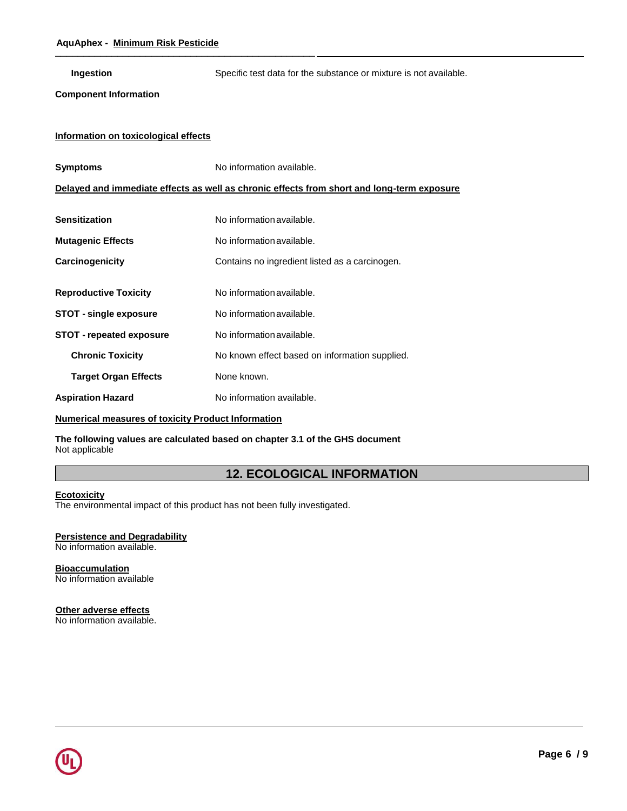**Ingestion** Specific test data for the substance or mixture is not available.

### **Component Information**

### **Information on toxicological effects**

| <b>Symptoms</b>                 | No information available.                                                                  |  |  |
|---------------------------------|--------------------------------------------------------------------------------------------|--|--|
|                                 | Delayed and immediate effects as well as chronic effects from short and long-term exposure |  |  |
|                                 |                                                                                            |  |  |
| <b>Sensitization</b>            | No information available.                                                                  |  |  |
| <b>Mutagenic Effects</b>        | No information available.                                                                  |  |  |
| Carcinogenicity                 | Contains no ingredient listed as a carcinogen.                                             |  |  |
|                                 |                                                                                            |  |  |
| <b>Reproductive Toxicity</b>    | No information available.                                                                  |  |  |
| <b>STOT - single exposure</b>   | No information available.                                                                  |  |  |
| <b>STOT</b> - repeated exposure | No information available.                                                                  |  |  |
| <b>Chronic Toxicity</b>         | No known effect based on information supplied.                                             |  |  |
| <b>Target Organ Effects</b>     | None known.                                                                                |  |  |
| <b>Aspiration Hazard</b>        | No information available.                                                                  |  |  |
|                                 |                                                                                            |  |  |

### **Numerical measures of toxicity Product Information**

**The following values are calculated based on chapter 3.1 of the GHS document** Not applicable

# **12. ECOLOGICAL INFORMATION**

#### **Ecotoxicity**

The environmental impact of this product has not been fully investigated.

#### **Persistence and Degradability**

No information available.

#### **Bioaccumulation** No information available

# **Other adverse effects**

No information available.

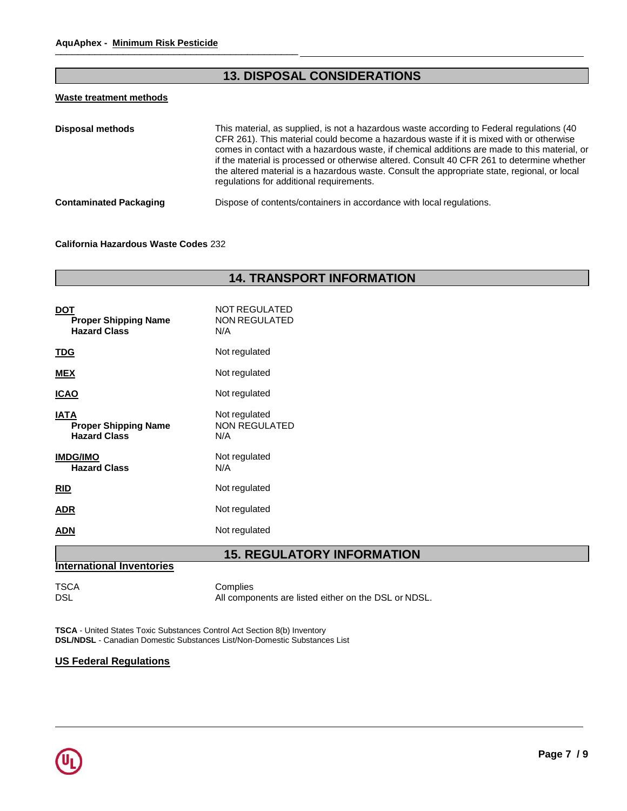# **13. DISPOSAL CONSIDERATIONS**

### **Waste treatment methods**

| <b>Disposal methods</b>       | This material, as supplied, is not a hazardous waste according to Federal regulations (40)<br>CFR 261). This material could become a hazardous waste if it is mixed with or otherwise<br>comes in contact with a hazardous waste, if chemical additions are made to this material, or<br>if the material is processed or otherwise altered. Consult 40 CFR 261 to determine whether<br>the altered material is a hazardous waste. Consult the appropriate state, regional, or local<br>regulations for additional requirements. |
|-------------------------------|---------------------------------------------------------------------------------------------------------------------------------------------------------------------------------------------------------------------------------------------------------------------------------------------------------------------------------------------------------------------------------------------------------------------------------------------------------------------------------------------------------------------------------|
| <b>Contaminated Packaging</b> | Dispose of contents/containers in accordance with local regulations.                                                                                                                                                                                                                                                                                                                                                                                                                                                            |

#### **California Hazardous Waste Codes** 232

# **14. TRANSPORT INFORMATION**

| DOT<br><b>Proper Shipping Name</b><br><b>Hazard Class</b>         | NOT REGULATED<br><b>NON REGULATED</b><br>N/A |
|-------------------------------------------------------------------|----------------------------------------------|
| <u>TDG</u>                                                        | Not regulated                                |
| <b>MEX</b>                                                        | Not regulated                                |
| <b>ICAO</b>                                                       | Not regulated                                |
| <b>IATA</b><br><b>Proper Shipping Name</b><br><b>Hazard Class</b> | Not regulated<br><b>NON REGULATED</b><br>N/A |
| <b>IMDG/IMO</b><br><b>Hazard Class</b>                            | Not regulated<br>N/A                         |
| <b>RID</b>                                                        | Not regulated                                |
| ADR                                                               | Not regulated                                |
| ADN                                                               | Not regulated                                |

# **15. REGULATORY INFORMATION**

### **International Inventories**

TSCA Complies

DSL DSL All components are listed either on the DSL or NDSL.

**TSCA** - United States Toxic Substances Control Act Section 8(b) Inventory **DSL/NDSL** - Canadian Domestic Substances List/Non-Domestic Substances List

# **US Federal Regulations**

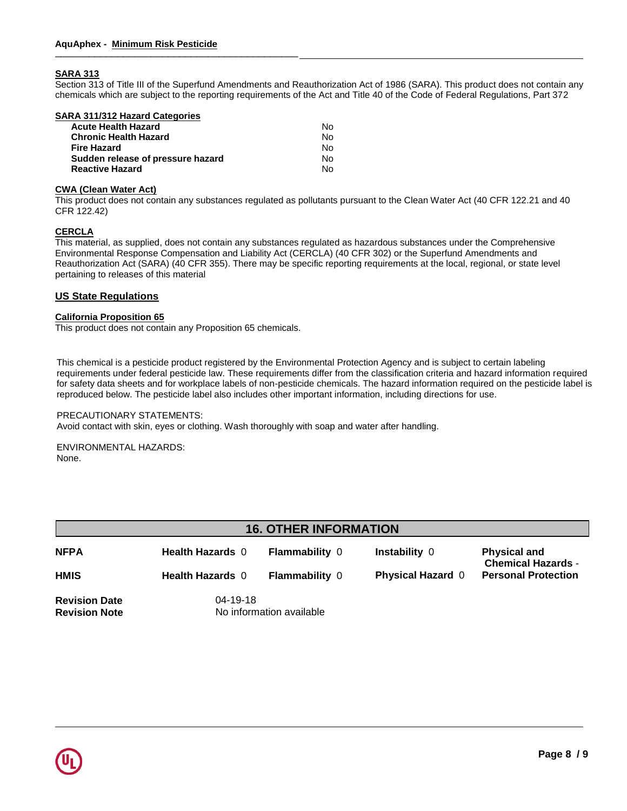# **SARA 313**

Section 313 of Title III of the Superfund Amendments and Reauthorization Act of 1986 (SARA). This product does not contain any chemicals which are subject to the reporting requirements of the Act and Title 40 of the Code of Federal Regulations, Part 372

| SARA 311/312 Hazard Categories    |     |
|-----------------------------------|-----|
| <b>Acute Health Hazard</b>        | N٥  |
| <b>Chronic Health Hazard</b>      | N٥  |
| <b>Fire Hazard</b>                | Nο  |
| Sudden release of pressure hazard | No. |
| <b>Reactive Hazard</b>            | No. |
|                                   |     |

# **CWA (Clean Water Act)**

This product does not contain any substances regulated as pollutants pursuant to the Clean Water Act (40 CFR 122.21 and 40 CFR 122.42)

### **CERCLA**

This material, as supplied, does not contain any substances regulated as hazardous substances under the Comprehensive Environmental Response Compensation and Liability Act (CERCLA) (40 CFR 302) or the Superfund Amendments and Reauthorization Act (SARA) (40 CFR 355). There may be specific reporting requirements at the local, regional, or state level pertaining to releases of this material

#### **US State Regulations**

#### **California Proposition 65**

This product does not contain any Proposition 65 chemicals.

. requirements under federal pesticide law. These requirements differ from the classification criteria and hazard information required reproduced below. The pesticide label also includes other important information, including directions for use. oleic acid XVIII and XVIII and XVIII and XVIII and XVIII and XVIII and XVIII and XVIII and XVIII and XVIII and<br>The contract of the contract of the contract of the contract of the contract of the contract of the contract o This chemical is a pesticide product registered by the Environmental Protection Agency and is subject to certain labeling for safety data sheets and for workplace labels of non-pesticide chemicals. The hazard information required on the pesticide label is

# PRECAUTIONARY STATEMENTS:

 $\mathbb{P}^1$  behind the state  $\mathbb{P}^1$  and  $\mathbb{P}^2$  is a  $\mathbb{P}^1$   $\mathbb{P}^2$  and  $\mathbb{P}^1$   $\mathbb{P}^2$   $\mathbb{P}^1$  and  $\mathbb{P}^1$   $\mathbb{P}^1$   $\mathbb{P}^2$  and  $\mathbb{P}^1$   $\mathbb{P}^1$   $\mathbb{P}^1$   $\mathbb{P}^1$   $\mathbb{P}^1$   $\mathbb{P}$ Avoid contact with skin, eyes or clothing. Wash thoroughly with soap and water after handling.

ENVIRONMENTAL HAZARDS:<br>None None.

| <b>16. OTHER INFORMATION</b>                 |                                            |                       |                          |                                                  |
|----------------------------------------------|--------------------------------------------|-----------------------|--------------------------|--------------------------------------------------|
| <b>NFPA</b>                                  | <b>Health Hazards 0</b>                    | <b>Flammability 0</b> | <b>Instability 0</b>     | <b>Physical and</b><br><b>Chemical Hazards -</b> |
| <b>HMIS</b>                                  | <b>Health Hazards 0</b>                    | <b>Flammability 0</b> | <b>Physical Hazard 0</b> | <b>Personal Protection</b>                       |
| <b>Revision Date</b><br><b>Revision Note</b> | $04 - 19 - 18$<br>No information available |                       |                          |                                                  |